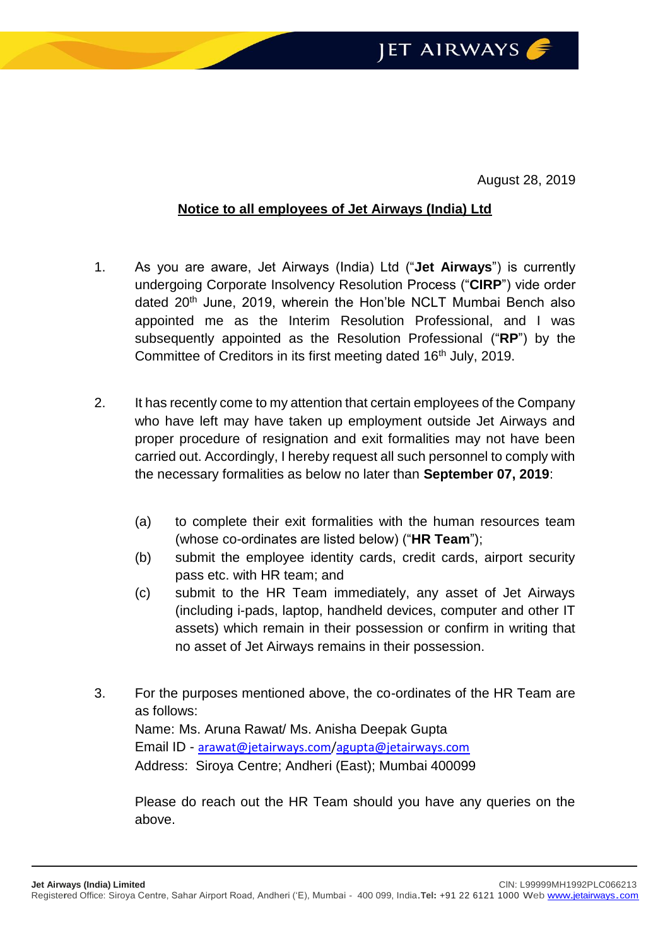August 28, 2019

## **Notice to all employees of Jet Airways (India) Ltd**

- 1. As you are aware, Jet Airways (India) Ltd ("**Jet Airways**") is currently undergoing Corporate Insolvency Resolution Process ("**CIRP**") vide order dated 20<sup>th</sup> June, 2019, wherein the Hon'ble NCLT Mumbai Bench also appointed me as the Interim Resolution Professional, and I was subsequently appointed as the Resolution Professional ("**RP**") by the Committee of Creditors in its first meeting dated 16<sup>th</sup> July, 2019.
- 2. It has recently come to my attention that certain employees of the Company who have left may have taken up employment outside Jet Airways and proper procedure of resignation and exit formalities may not have been carried out. Accordingly, I hereby request all such personnel to comply with the necessary formalities as below no later than **September 07, 2019**:
	- (a) to complete their exit formalities with the human resources team (whose co-ordinates are listed below) ("**HR Team**");
	- (b) submit the employee identity cards, credit cards, airport security pass etc. with HR team; and
	- (c) submit to the HR Team immediately, any asset of Jet Airways (including i-pads, laptop, handheld devices, computer and other IT assets) which remain in their possession or confirm in writing that no asset of Jet Airways remains in their possession.
- 3. For the purposes mentioned above, the co-ordinates of the HR Team are as follows: Name: Ms. Aruna Rawat/ Ms. Anisha Deepak Gupta Email ID - [arawat@jetairways.com](mailto:arawat@jetairways.com)[/agupta@jetairways.com](mailto:agupta@jetairways.com) Address: Siroya Centre; Andheri (East); Mumbai 400099

Please do reach out the HR Team should you have any queries on the above.